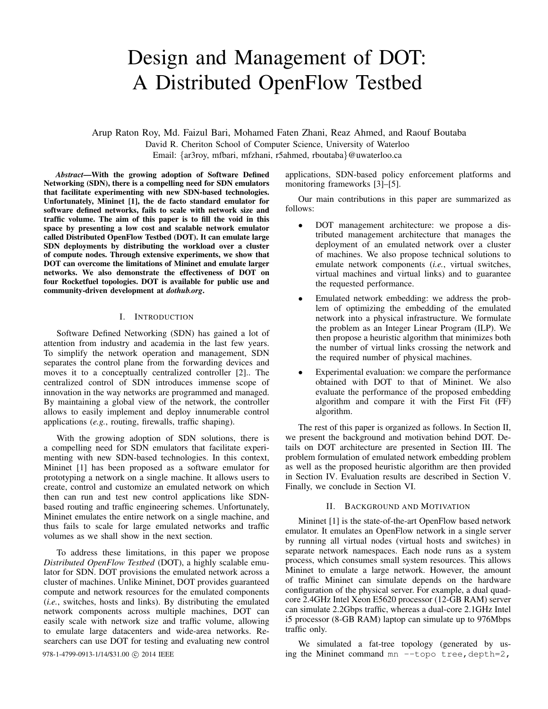# Design and Management of DOT: A Distributed OpenFlow Testbed

Arup Raton Roy, Md. Faizul Bari, Mohamed Faten Zhani, Reaz Ahmed, and Raouf Boutaba David R. Cheriton School of Computer Science, University of Waterloo Email: {ar3roy, mfbari, mfzhani, r5ahmed, rboutaba}@uwaterloo.ca

*Abstract*—With the growing adoption of Software Defined Networking (SDN), there is a compelling need for SDN emulators that facilitate experimenting with new SDN-based technologies. Unfortunately, Mininet [1], the de facto standard emulator for software defined networks, fails to scale with network size and traffic volume. The aim of this paper is to fill the void in this space by presenting a low cost and scalable network emulator called Distributed OpenFlow Testbed (DOT). It can emulate large SDN deployments by distributing the workload over a cluster of compute nodes. Through extensive experiments, we show that DOT can overcome the limitations of Mininet and emulate larger networks. We also demonstrate the effectiveness of DOT on four Rocketfuel topologies. DOT is available for public use and community-driven development at *dothub.org*.

## I. INTRODUCTION

Software Defined Networking (SDN) has gained a lot of attention from industry and academia in the last few years. To simplify the network operation and management, SDN separates the control plane from the forwarding devices and moves it to a conceptually centralized controller [2].. The centralized control of SDN introduces immense scope of innovation in the way networks are programmed and managed. By maintaining a global view of the network, the controller allows to easily implement and deploy innumerable control applications (*e.g.*, routing, firewalls, traffic shaping).

With the growing adoption of SDN solutions, there is a compelling need for SDN emulators that facilitate experimenting with new SDN-based technologies. In this context, Mininet [1] has been proposed as a software emulator for prototyping a network on a single machine. It allows users to create, control and customize an emulated network on which then can run and test new control applications like SDNbased routing and traffic engineering schemes. Unfortunately, Mininet emulates the entire network on a single machine, and thus fails to scale for large emulated networks and traffic volumes as we shall show in the next section.

To address these limitations, in this paper we propose *Distributed OpenFlow Testbed* (DOT), a highly scalable emulator for SDN. DOT provisions the emulated network across a cluster of machines. Unlike Mininet, DOT provides guaranteed compute and network resources for the emulated components (*i.e.*, switches, hosts and links). By distributing the emulated network components across multiple machines, DOT can easily scale with network size and traffic volume, allowing to emulate large datacenters and wide-area networks. Researchers can use DOT for testing and evaluating new control

applications, SDN-based policy enforcement platforms and monitoring frameworks [3]–[5].

Our main contributions in this paper are summarized as follows:

- DOT management architecture: we propose a distributed management architecture that manages the deployment of an emulated network over a cluster of machines. We also propose technical solutions to emulate network components (*i.e.*, virtual switches, virtual machines and virtual links) and to guarantee the requested performance.
- Emulated network embedding: we address the problem of optimizing the embedding of the emulated network into a physical infrastructure. We formulate the problem as an Integer Linear Program (ILP). We then propose a heuristic algorithm that minimizes both the number of virtual links crossing the network and the required number of physical machines.
- Experimental evaluation: we compare the performance obtained with DOT to that of Mininet. We also evaluate the performance of the proposed embedding algorithm and compare it with the First Fit (FF) algorithm.

The rest of this paper is organized as follows. In Section II, we present the background and motivation behind DOT. Details on DOT architecture are presented in Section III. The problem formulation of emulated network embedding problem as well as the proposed heuristic algorithm are then provided in Section IV. Evaluation results are described in Section V. Finally, we conclude in Section VI.

## II. BACKGROUND AND MOTIVATION

Mininet [1] is the state-of-the-art OpenFlow based network emulator. It emulates an OpenFlow network in a single server by running all virtual nodes (virtual hosts and switches) in separate network namespaces. Each node runs as a system process, which consumes small system resources. This allows Mininet to emulate a large network. However, the amount of traffic Mininet can simulate depends on the hardware configuration of the physical server. For example, a dual quadcore 2.4GHz Intel Xeon E5620 processor (12-GB RAM) server can simulate 2.2Gbps traffic, whereas a dual-core 2.1GHz Intel i5 processor (8-GB RAM) laptop can simulate up to 976Mbps traffic only.

We simulated a fat-tree topology (generated by us-978-1-4799-0913-1/14/\$31.00 © 2014 IEEE ing the Mininet command mn --topo tree, depth=2,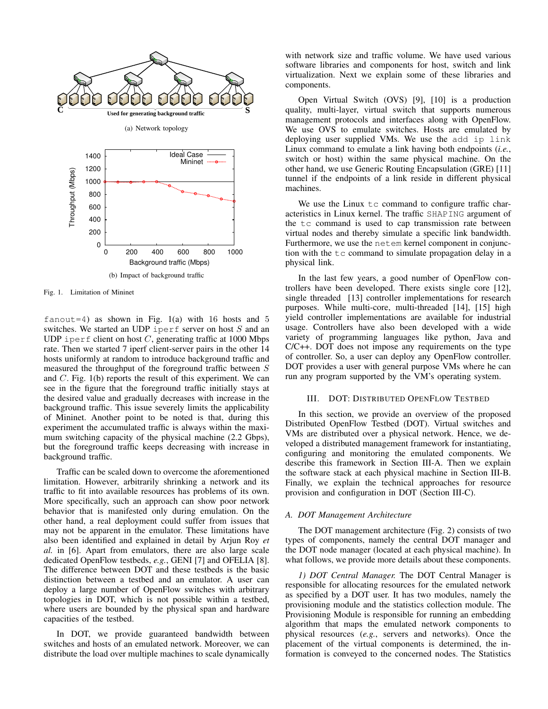

Fig. 1. Limitation of Mininet

fanout=4) as shown in Fig. 1(a) with 16 hosts and 5 switches. We started an UDP iperf server on host  $S$  and an UDP iperf client on host  $C$ , generating traffic at 1000 Mbps rate. Then we started 7 iperf client-server pairs in the other 14 hosts uniformly at random to introduce background traffic and measured the throughput of the foreground traffic between S and C. Fig. 1(b) reports the result of this experiment. We can see in the figure that the foreground traffic initially stays at the desired value and gradually decreases with increase in the background traffic. This issue severely limits the applicability of Mininet. Another point to be noted is that, during this experiment the accumulated traffic is always within the maximum switching capacity of the physical machine (2.2 Gbps), but the foreground traffic keeps decreasing with increase in background traffic.

Traffic can be scaled down to overcome the aforementioned limitation. However, arbitrarily shrinking a network and its traffic to fit into available resources has problems of its own. More specifically, such an approach can show poor network behavior that is manifested only during emulation. On the other hand, a real deployment could suffer from issues that may not be apparent in the emulator. These limitations have also been identified and explained in detail by Arjun Roy *et al.* in [6]. Apart from emulators, there are also large scale dedicated OpenFlow testbeds, *e.g.*, GENI [7] and OFELIA [8]. The difference between DOT and these testbeds is the basic distinction between a testbed and an emulator. A user can deploy a large number of OpenFlow switches with arbitrary topologies in DOT, which is not possible within a testbed, where users are bounded by the physical span and hardware capacities of the testbed.

In DOT, we provide guaranteed bandwidth between switches and hosts of an emulated network. Moreover, we can distribute the load over multiple machines to scale dynamically with network size and traffic volume. We have used various software libraries and components for host, switch and link virtualization. Next we explain some of these libraries and components.

Open Virtual Switch (OVS) [9], [10] is a production quality, multi-layer, virtual switch that supports numerous management protocols and interfaces along with OpenFlow. We use OVS to emulate switches. Hosts are emulated by deploying user supplied VMs. We use the add ip link Linux command to emulate a link having both endpoints (*i.e.*, switch or host) within the same physical machine. On the other hand, we use Generic Routing Encapsulation (GRE) [11] tunnel if the endpoints of a link reside in different physical machines.

We use the Linux  $tc$  command to configure traffic characteristics in Linux kernel. The traffic SHAPING argument of the tc command is used to cap transmission rate between virtual nodes and thereby simulate a specific link bandwidth. Furthermore, we use the netem kernel component in conjunction with the  $tc$  command to simulate propagation delay in a physical link.

In the last few years, a good number of OpenFlow controllers have been developed. There exists single core [12], single threaded [13] controller implementations for research purposes. While multi-core, multi-threaded [14], [15] high yield controller implementations are available for industrial usage. Controllers have also been developed with a wide variety of programming languages like python, Java and C/C++. DOT does not impose any requirements on the type of controller. So, a user can deploy any OpenFlow controller. DOT provides a user with general purpose VMs where he can run any program supported by the VM's operating system.

## III. DOT: DISTRIBUTED OPENFLOW TESTBED

In this section, we provide an overview of the proposed Distributed OpenFlow Testbed (DOT). Virtual switches and VMs are distributed over a physical network. Hence, we developed a distributed management framework for instantiating, configuring and monitoring the emulated components. We describe this framework in Section III-A. Then we explain the software stack at each physical machine in Section III-B. Finally, we explain the technical approaches for resource provision and configuration in DOT (Section III-C).

#### *A. DOT Management Architecture*

The DOT management architecture (Fig. 2) consists of two types of components, namely the central DOT manager and the DOT node manager (located at each physical machine). In what follows, we provide more details about these components.

*1) DOT Central Manager.* The DOT Central Manager is responsible for allocating resources for the emulated network as specified by a DOT user. It has two modules, namely the provisioning module and the statistics collection module. The Provisioning Module is responsible for running an embedding algorithm that maps the emulated network components to physical resources (*e.g.*, servers and networks). Once the placement of the virtual components is determined, the information is conveyed to the concerned nodes. The Statistics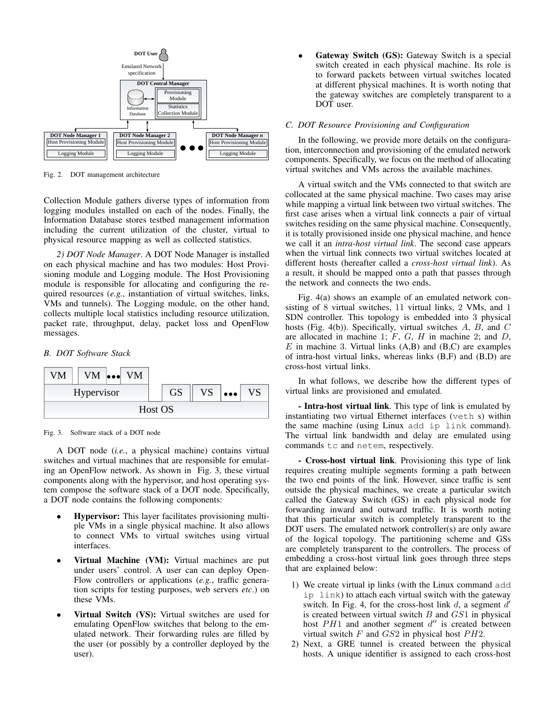

Fig. 2. DOT management architecture

Collection Module gathers diverse types of information from logging modules installed on each of the nodes. Finally, the Information Database stores testbed management information including the current utilization of the cluster, virtual to physical resource mapping as well as collected statistics.

*2) DOT Node Manager*. A DOT Node Manager is installed on each physical machine and has two modules: Host Provisioning module and Logging module. The Host Provisioning module is responsible for allocating and configuring the required resources (*e.g.*, instantiation of virtual switches, links, VMs and tunnels). The Logging module, on the other hand, collects multiple local statistics including resource utilization, packet rate, throughput, delay, packet loss and OpenFlow messages.

# *B. DOT Software Stack*



Fig. 3. Software stack of a DOT node

A DOT node (*i.e.*, a physical machine) contains virtual switches and virtual machines that are responsible for emulating an OpenFlow network. As shown in Fig. 3, these virtual components along with the hypervisor, and host operating system compose the software stack of a DOT node. Specifically, a DOT node contains the following components:

- Hypervisor: This layer facilitates provisioning multiple VMs in a single physical machine. It also allows to connect VMs to virtual switches using virtual interfaces.
- Virtual Machine (VM): Virtual machines are put under users' control. A user can can deploy Open-Flow controllers or applications (*e.g.*, traffic generation scripts for testing purposes, web servers *etc*.) on these VMs.
- Virtual Switch (VS): Virtual switches are used for emulating OpenFlow switches that belong to the emulated network. Their forwarding rules are filled by the user (or possibly by a controller deployed by the user).

Gateway Switch (GS): Gateway Switch is a special switch created in each physical machine. Its role is to forward packets between virtual switches located at different physical machines. It is worth noting that the gateway switches are completely transparent to a DOT user.

## *C. DOT Resource Provisioning and Configuration*

In the following, we provide more details on the configuration, interconnection and provisioning of the emulated network components. Specifically, we focus on the method of allocating virtual switches and VMs across the available machines.

A virtual switch and the VMs connected to that switch are collocated at the same physical machine. Two cases may arise while mapping a virtual link between two virtual switches. The first case arises when a virtual link connects a pair of virtual switches residing on the same physical machine. Consequently, it is totally provisioned inside one physical machine, and hence we call it an *intra-host virtual link*. The second case appears when the virtual link connects two virtual switches located at different hosts (hereafter called a *cross-host virtual link*). As a result, it should be mapped onto a path that passes through the network and connects the two ends.

Fig. 4(a) shows an example of an emulated network consisting of 8 virtual switches, 11 virtual links, 2 VMs, and 1 SDN controller. This topology is embedded into 3 physical hosts (Fig. 4(b)). Specifically, virtual switches A, B, and C are allocated in machine 1;  $F$ ,  $G$ ,  $H$  in machine 2; and  $D$ ,  $E$  in machine 3. Virtual links  $(A,B)$  and  $(B,C)$  are examples of intra-host virtual links, whereas links (B,F) and (B,D) are cross-host virtual links.

In what follows, we describe how the different types of virtual links are provisioned and emulated.

- Intra-host virtual link. This type of link is emulated by instantiating two virtual Ethernet interfaces (veth s) within the same machine (using Linux add ip link command). The virtual link bandwidth and delay are emulated using commands tc and netem, respectively.

- Cross-host virtual link. Provisioning this type of link requires creating multiple segments forming a path between the two end points of the link. However, since traffic is sent outside the physical machines, we create a particular switch called the Gateway Switch (GS) in each physical node for forwarding inward and outward traffic. It is worth noting that this particular switch is completely transparent to the DOT users. The emulated network controller(s) are only aware of the logical topology. The partitioning scheme and GSs are completely transparent to the controllers. The process of embedding a cross-host virtual link goes through three steps that are explained below:

- 1) We create virtual ip links (with the Linux command add ip link) to attach each virtual switch with the gateway switch. In Fig. 4, for the cross-host link  $d$ , a segment  $d'$ is created between virtual switch  $B$  and  $GS1$  in physical host  $PH1$  and another segment  $d''$  is created between virtual switch  $F$  and  $GS2$  in physical host  $PH2$ .
- 2) Next, a GRE tunnel is created between the physical hosts. A unique identifier is assigned to each cross-host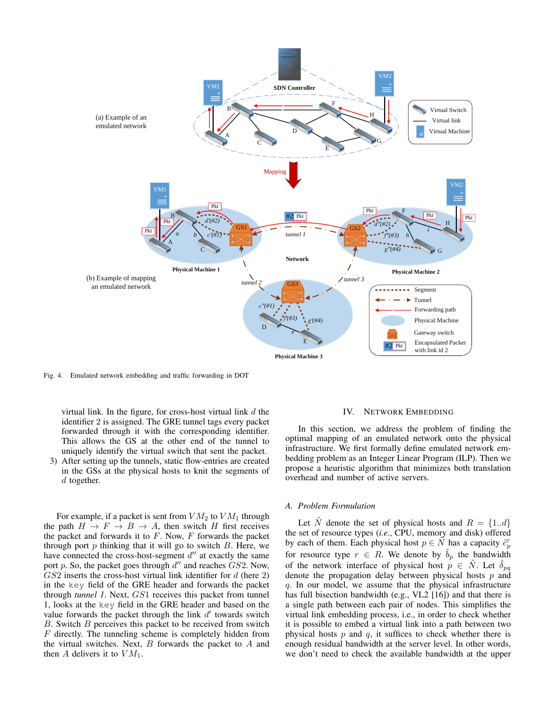

Fig. 4. Emulated network embedding and traffic forwarding in DOT

virtual link. In the figure, for cross-host virtual link  $d$  the identifier 2 is assigned. The GRE tunnel tags every packet forwarded through it with the corresponding identifier. This allows the GS at the other end of the tunnel to uniquely identify the virtual switch that sent the packet.

3) After setting up the tunnels, static flow-entries are created in the GSs at the physical hosts to knit the segments of  $d$  together.

For example, if a packet is sent from  $VM_2$  to  $VM_1$  through the path  $H \to F \to B \to A$ , then switch H first receives the packet and forwards it to  $F$ . Now,  $F$  forwards the packet through port  $p$  thinking that it will go to switch  $B$ . Here, we have connected the cross-host-segment  $d''$  at exactly the same port p. So, the packet goes through  $d''$  and reaches  $GS2$ . Now,  $GS2$  inserts the cross-host virtual link identifier for  $d$  (here 2) in the key field of the GRE header and forwards the packet through *tunnel 1*. Next, GS1 receives this packet from tunnel 1, looks at the key field in the GRE header and based on the value forwards the packet through the link  $d'$  towards switch  $B$ . Switch  $B$  perceives this packet to be received from switch F directly. The tunneling scheme is completely hidden from the virtual switches. Next,  $B$  forwards the packet to  $A$  and then A delivers it to  $VM_1$ .

## IV. NETWORK EMBEDDING

In this section, we address the problem of finding the optimal mapping of an emulated network onto the physical infrastructure. We first formally define emulated network embedding problem as an Integer Linear Program (ILP). Then we propose a heuristic algorithm that minimizes both translation overhead and number of active servers.

# *A. Problem Formulation*

Let N denote the set of physical hosts and  $R = \{1..d\}$ the set of resource types (*i.e.*, CPU, memory and disk) offered by each of them. Each physical host  $p \in \tilde{N}$  has a capacity  $\tilde{c}_p^r$ for resource type  $r \in R$ . We denote by  $\tilde{b}_p$  the bandwidth of the network interface of physical host  $p \in \tilde{N}$ . Let  $\delta_{pq}$ denote the propagation delay between physical hosts  $p$  and q. In our model, we assume that the physical infrastructure has full bisection bandwidth (e.g., VL2 [16]) and that there is a single path between each pair of nodes. This simplifies the virtual link embedding process, i.e., in order to check whether it is possible to embed a virtual link into a path between two physical hosts  $p$  and  $q$ , it suffices to check whether there is enough residual bandwidth at the server level. In other words, we don't need to check the available bandwidth at the upper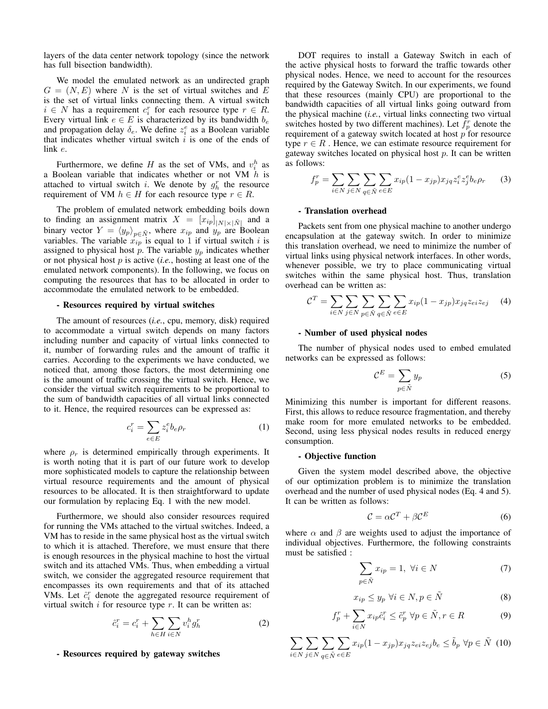layers of the data center network topology (since the network has full bisection bandwidth).

We model the emulated network as an undirected graph  $G = (N, E)$  where N is the set of virtual switches and E is the set of virtual links connecting them. A virtual switch  $i \in N$  has a requirement  $c_i^r$  for each resource type  $r \in R$ . Every virtual link  $e \in E$  is characterized by its bandwidth  $b_e$ and propagation delay  $\delta_e$ . We define  $z_i^e$  as a Boolean variable that indicates whether virtual switch  $i$  is one of the ends of link e.

Furthermore, we define H as the set of VMs, and  $v_i^h$  as a Boolean variable that indicates whether or not VM  $h$  is attached to virtual switch *i*. We denote by  $g_h^r$  the resource requirement of VM  $h \in H$  for each resource type  $r \in R$ .

The problem of emulated network embedding boils down to finding an assignment matrix  $X = [x_{ip}]_{|N| \times |\tilde{N}|}$  and a binary vector  $Y = \langle y_p \rangle_{p \in \tilde{N}}$ , where  $x_{ip}$  and  $y_p$  are Boolean variables. The variable  $\hat{x}_{ip}$  is equal to 1 if virtual switch i is assigned to physical host  $p$ . The variable  $y_p$  indicates whether or not physical host p is active (*i.e.*, hosting at least one of the emulated network components). In the following, we focus on computing the resources that has to be allocated in order to accommodate the emulated network to be embedded.

## - Resources required by virtual switches

The amount of resources (*i.e.*, cpu, memory, disk) required to accommodate a virtual switch depends on many factors including number and capacity of virtual links connected to it, number of forwarding rules and the amount of traffic it carries. According to the experiments we have conducted, we noticed that, among those factors, the most determining one is the amount of traffic crossing the virtual switch. Hence, we consider the virtual switch requirements to be proportional to the sum of bandwidth capacities of all virtual links connected to it. Hence, the required resources can be expressed as:

$$
c_i^r = \sum_{e \in E} z_i^e b_e \rho_r \tag{1}
$$

where  $\rho_r$  is determined empirically through experiments. It is worth noting that it is part of our future work to develop more sophisticated models to capture the relationship between virtual resource requirements and the amount of physical resources to be allocated. It is then straightforward to update our formulation by replacing Eq. 1 with the new model.

Furthermore, we should also consider resources required for running the VMs attached to the virtual switches. Indeed, a VM has to reside in the same physical host as the virtual switch to which it is attached. Therefore, we must ensure that there is enough resources in the physical machine to host the virtual switch and its attached VMs. Thus, when embedding a virtual switch, we consider the aggregated resource requirement that encompasses its own requirements and that of its attached VMs. Let  $\hat{c}_i^r$  denote the aggregated resource requirement of virtual switch  $i$  for resource type  $r$ . It can be written as:

$$
\hat{c}_i^r = c_i^r + \sum_{h \in H} \sum_{i \in N} v_i^h g_h^r \tag{2}
$$

### - Resources required by gateway switches

DOT requires to install a Gateway Switch in each of the active physical hosts to forward the traffic towards other physical nodes. Hence, we need to account for the resources required by the Gateway Switch. In our experiments, we found that these resources (mainly CPU) are proportional to the bandwidth capacities of all virtual links going outward from the physical machine (*i.e.*, virtual links connecting two virtual switches hosted by two different machines). Let  $f_p^r$  denote the requirement of a gateway switch located at host p for resource type  $r \in R$ . Hence, we can estimate resource requirement for gateway switches located on physical host  $p$ . It can be written as follows:

$$
f_p^r = \sum_{i \in N} \sum_{j \in N} \sum_{q \in \tilde{N}} \sum_{e \in E} x_{ip} (1 - x_{jp}) x_{jq} z_i^e z_j^e b_e \rho_r \qquad (3)
$$

## - Translation overhead

Packets sent from one physical machine to another undergo encapsulation at the gateway switch. In order to minimize this translation overhead, we need to minimize the number of virtual links using physical network interfaces. In other words, whenever possible, we try to place communicating virtual switches within the same physical host. Thus, translation overhead can be written as:

$$
CT = \sum_{i \in N} \sum_{j \in N} \sum_{p \in \tilde{N}} \sum_{q \in \tilde{N}} \sum_{e \in E} x_{ip} (1 - x_{jp}) x_{jq} z_{ei} z_{ej} \qquad (4)
$$

#### - Number of used physical nodes

The number of physical nodes used to embed emulated networks can be expressed as follows:

$$
\mathcal{C}^E = \sum_{p \in \tilde{N}} y_p \tag{5}
$$

Minimizing this number is important for different reasons. First, this allows to reduce resource fragmentation, and thereby make room for more emulated networks to be embedded. Second, using less physical nodes results in reduced energy consumption.

#### - Objective function

Given the system model described above, the objective of our optimization problem is to minimize the translation overhead and the number of used physical nodes (Eq. 4 and 5). It can be written as follows:

$$
\mathcal{C} = \alpha \mathcal{C}^T + \beta \mathcal{C}^E \tag{6}
$$

where  $\alpha$  and  $\beta$  are weights used to adjust the importance of individual objectives. Furthermore, the following constraints must be satisfied :

$$
\sum_{p \in \tilde{N}} x_{ip} = 1, \ \forall i \in N \tag{7}
$$

$$
x_{ip} \le y_p \ \forall i \in N, p \in \tilde{N} \tag{8}
$$

$$
f_p^r + \sum_{i \in N} x_{ip} \hat{c}_i^r \le \tilde{c}_p^r \ \forall p \in \tilde{N}, r \in R \tag{9}
$$

 $\sum$ i∈N  $\sum$ j∈N  $\sum$  $q \in \tilde{N}$  $\sum$ e∈E  $x_{ip}(1-x_{jp})x_{jq}z_{ei}z_{ej}b_e \leq \tilde{b}_p \,\,\forall p \in \tilde{N}$  (10)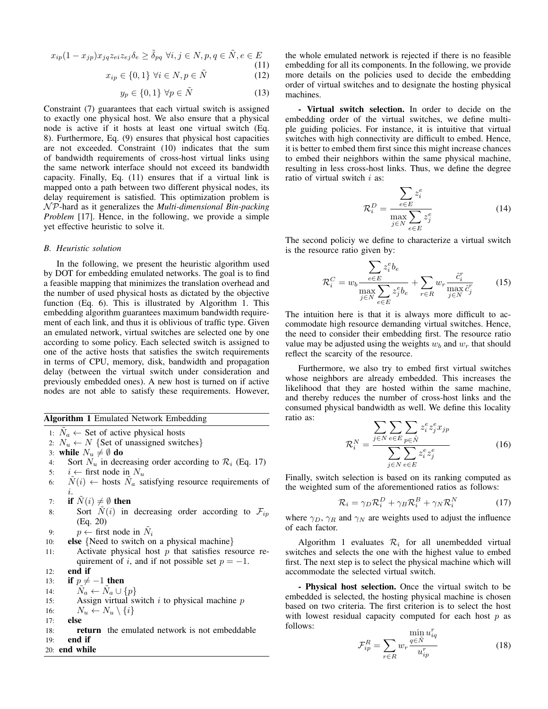$$
x_{ip}(1-x_{jp})x_{jq}z_{ei}z_{ej}\delta_e \ge \tilde{\delta}_{pq} \,\forall i, j \in N, p, q \in \tilde{N}, e \in E
$$
\n(11)

$$
x_{ip} \in \{0, 1\} \,\,\forall i \in N, p \in \tilde{N} \tag{12}
$$

$$
y_p \in \{0, 1\} \,\forall p \in \tilde{N} \tag{13}
$$

Constraint (7) guarantees that each virtual switch is assigned to exactly one physical host. We also ensure that a physical node is active if it hosts at least one virtual switch (Eq. 8). Furthermore, Eq. (9) ensures that physical host capacities are not exceeded. Constraint (10) indicates that the sum of bandwidth requirements of cross-host virtual links using the same network interface should not exceed its bandwidth capacity. Finally, Eq. (11) ensures that if a virtual link is mapped onto a path between two different physical nodes, its delay requirement is satisfied. This optimization problem is N P-hard as it generalizes the *Multi-dimensional Bin-packing Problem* [17]. Hence, in the following, we provide a simple yet effective heuristic to solve it.

#### *B. Heuristic solution*

In the following, we present the heuristic algorithm used by DOT for embedding emulated networks. The goal is to find a feasible mapping that minimizes the translation overhead and the number of used physical hosts as dictated by the objective function (Eq. 6). This is illustrated by Algorithm 1. This embedding algorithm guarantees maximum bandwidth requirement of each link, and thus it is oblivious of traffic type. Given an emulated network, virtual switches are selected one by one according to some policy. Each selected switch is assigned to one of the active hosts that satisfies the switch requirements in terms of CPU, memory, disk, bandwidth and propagation delay (between the virtual switch under consideration and previously embedded ones). A new host is turned on if active nodes are not able to satisfy these requirements. However,

| Algorithm 1 Emulated Network Embedding |  |  |  |  |
|----------------------------------------|--|--|--|--|
|----------------------------------------|--|--|--|--|

1:  $\tilde{N}_a \leftarrow$  Set of active physical hosts

2: 
$$
N_u \leftarrow N
$$
 {Set of unassigned switches}

3: while  $N_u \neq \emptyset$  do

- 4: Sort  $N_u$  in decreasing order according to  $\mathcal{R}_i$  (Eq. 17) 5:  $i \leftarrow$  first node in  $N_u$
- 6:  $\tilde{N}(i) \leftarrow$  hosts  $\tilde{N}_a$  satisfying resource requirements of i.
- 7: if  $\tilde{N}(i) \neq \emptyset$  then
- 8: Sort  $\tilde{N}(i)$  in decreasing order according to  $\mathcal{F}_{ip}$ (Eq. 20)
- 9:  $p \leftarrow$  first node in  $\tilde{N}_i$
- 10: **else** {Need to switch on a physical machine}
- 11: Activate physical host  $p$  that satisfies resource requirement of i, and if not possible set  $p = -1$ .
- 12: end if

13: if  $p \neq -1$  then

14:  $\tilde{N}_a \leftarrow \tilde{N}_a \cup \{p\}$ 

- 15: Assign virtual switch  $i$  to physical machine  $p$
- 16:  $N_u \leftarrow N_u \setminus \{i\}$
- 17: else
- 18: return the emulated network is not embeddable 19: end if
- 20: end while

the whole emulated network is rejected if there is no feasible embedding for all its components. In the following, we provide more details on the policies used to decide the embedding order of virtual switches and to designate the hosting physical machines.

- Virtual switch selection. In order to decide on the embedding order of the virtual switches, we define multiple guiding policies. For instance, it is intuitive that virtual switches with high connectivity are difficult to embed. Hence, it is better to embed them first since this might increase chances to embed their neighbors within the same physical machine, resulting in less cross-host links. Thus, we define the degree ratio of virtual switch  $i$  as:

$$
\mathcal{R}_i^D = \frac{\sum_{e \in E} z_i^e}{\max_{j \in N} \sum_{e \in E} z_j^e} \tag{14}
$$

The second policiy we define to characterize a virtual switch is the resource ratio given by:

$$
\mathcal{R}_i^C = w_b \frac{\sum_{e \in E} z_i^e b_e}{\max_{j \in N} \sum_{e \in E} z_j^e b_e} + \sum_{r \in R} w_r \frac{\hat{c}_i^r}{\max_{j \in N} \hat{c}_j^r}
$$
(15)

The intuition here is that it is always more difficult to accommodate high resource demanding virtual switches. Hence, the need to consider their embedding first. The resource ratio value may be adjusted using the weights  $w_b$  and  $w_r$  that should reflect the scarcity of the resource.

Furthermore, we also try to embed first virtual switches whose neighbors are already embedded. This increases the likelihood that they are hosted within the same machine, and thereby reduces the number of cross-host links and the consumed physical bandwidth as well. We define this locality ratio as:

$$
\mathcal{R}_i^N = \frac{\sum_{j \in N} \sum_{e \in E} \sum_{p \in \tilde{N}} z_i^e z_j^e x_{jp}}{\sum_{j \in N} \sum_{e \in E} z_i^e z_j^e}
$$
(16)

Finally, switch selection is based on its ranking computed as the weighted sum of the aforementioned ratios as follows:

$$
\mathcal{R}_i = \gamma_D \mathcal{R}_i^D + \gamma_B \mathcal{R}_i^B + \gamma_N \mathcal{R}_i^N \tag{17}
$$

where  $\gamma_D$ ,  $\gamma_R$  and  $\gamma_N$  are weights used to adjust the influence of each factor.

Algorithm 1 evaluates  $\mathcal{R}_i$  for all unembedded virtual switches and selects the one with the highest value to embed first. The next step is to select the physical machine which will accommodate the selected virtual switch.

- Physical host selection. Once the virtual switch to be embedded is selected, the hosting physical machine is chosen based on two criteria. The first criterion is to select the host with lowest residual capacity computed for each host  $p$  as follows: r

$$
\mathcal{F}_{ip}^R = \sum_{r \in R} w_r \frac{\min_{q \in \tilde{N}} u_{iq}^r}{u_{ip}^r}
$$
(18)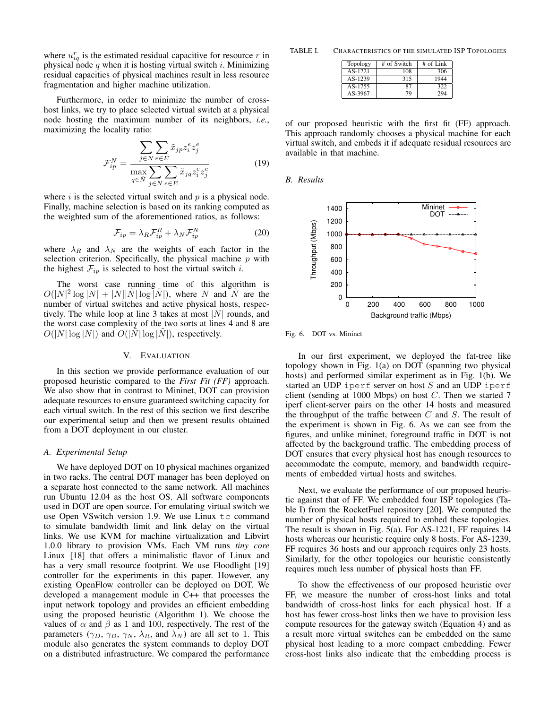where  $u_{iq}^r$  is the estimated residual capacitive for resource r in physical node q when it is hosting virtual switch i. Minimizing residual capacities of physical machines result in less resource fragmentation and higher machine utilization.

Furthermore, in order to minimize the number of crosshost links, we try to place selected virtual switch at a physical node hosting the maximum number of its neighbors, *i.e.*, maximizing the locality ratio:

$$
\mathcal{F}_{ip}^{N} = \frac{\sum_{j \in N} \sum_{e \in E} \tilde{x}_{jp} z_i^e z_j^e}{\max_{q \in \tilde{N}} \sum_{j \in N} \sum_{e \in E} \tilde{x}_{jq} z_i^e z_j^e} \tag{19}
$$

where  $i$  is the selected virtual switch and  $p$  is a physical node. Finally, machine selection is based on its ranking computed as the weighted sum of the aforementioned ratios, as follows:

$$
\mathcal{F}_{ip} = \lambda_R \mathcal{F}_{ip}^R + \lambda_N \mathcal{F}_{ip}^N \tag{20}
$$

where  $\lambda_R$  and  $\lambda_N$  are the weights of each factor in the selection criterion. Specifically, the physical machine  $p$  with the highest  $\mathcal{F}_{ip}$  is selected to host the virtual switch *i*.

The worst case running time of this algorithm is  $O(|N|^2 \log |N| + |N||\tilde{N}| \log |\tilde{N}|)$ , where N and  $\tilde{N}$  are the number of virtual switches and active physical hosts, respectively. The while loop at line 3 takes at most  $|N|$  rounds, and the worst case complexity of the two sorts at lines 4 and 8 are  $O(|N| \log |N|)$  and  $O(|N| \log |N|)$ , respectively.

### V. EVALUATION

In this section we provide performance evaluation of our proposed heuristic compared to the *First Fit (FF)* approach. We also show that in contrast to Mininet, DOT can provision adequate resources to ensure guaranteed switching capacity for each virtual switch. In the rest of this section we first describe our experimental setup and then we present results obtained from a DOT deployment in our cluster.

## *A. Experimental Setup*

We have deployed DOT on 10 physical machines organized in two racks. The central DOT manager has been deployed on a separate host connected to the same network. All machines run Ubuntu 12.04 as the host OS. All software components used in DOT are open source. For emulating virtual switch we use Open VS witch version 1.9. We use Linux  $tc$  command to simulate bandwidth limit and link delay on the virtual links. We use KVM for machine virtualization and Libvirt 1.0.0 library to provision VMs. Each VM runs *tiny core* Linux [18] that offers a minimalistic flavor of Linux and has a very small resource footprint. We use Floodlight [19] controller for the experiments in this paper. However, any existing OpenFlow controller can be deployed on DOT. We developed a management module in C++ that processes the input network topology and provides an efficient embedding using the proposed heuristic (Algorithm 1). We choose the values of  $\alpha$  and  $\beta$  as 1 and 100, respectively. The rest of the parameters ( $\gamma_D$ ,  $\gamma_B$ ,  $\gamma_N$ ,  $\lambda_R$ , and  $\lambda_N$ ) are all set to 1. This module also generates the system commands to deploy DOT on a distributed infrastructure. We compared the performance

TABLE I. CHARACTERISTICS OF THE SIMULATED ISP TOPOLOGIES

| Topology | # of Switch | $#$ of Link |
|----------|-------------|-------------|
| AS-1221  | 108         | 306         |
| AS-1239  | 315         | 1944        |
| AS-1755  | 87          | 322         |
| AS-3967  | 79          | 294         |

of our proposed heuristic with the first fit (FF) approach. This approach randomly chooses a physical machine for each virtual switch, and embeds it if adequate residual resources are available in that machine.

#### *B. Results*



Fig. 6. DOT vs. Mininet

In our first experiment, we deployed the fat-tree like topology shown in Fig. 1(a) on DOT (spanning two physical hosts) and performed similar experiment as in Fig. 1(b). We started an UDP iperf server on host  $S$  and an UDP iperf client (sending at 1000 Mbps) on host  $C$ . Then we started 7 iperf client-server pairs on the other 14 hosts and measured the throughput of the traffic between  $C$  and  $S$ . The result of the experiment is shown in Fig. 6. As we can see from the figures, and unlike mininet, foreground traffic in DOT is not affected by the background traffic. The embedding process of DOT ensures that every physical host has enough resources to accommodate the compute, memory, and bandwidth requirements of embedded virtual hosts and switches.

Next, we evaluate the performance of our proposed heuristic against that of FF. We embedded four ISP topologies (Table I) from the RocketFuel repository [20]. We computed the number of physical hosts required to embed these topologies. The result is shown in Fig. 5(a). For AS-1221, FF requires 14 hosts whereas our heuristic require only 8 hosts. For AS-1239, FF requires 36 hosts and our approach requires only 23 hosts. Similarly, for the other topologies our heuristic consistently requires much less number of physical hosts than FF.

To show the effectiveness of our proposed heuristic over FF, we measure the number of cross-host links and total bandwidth of cross-host links for each physical host. If a host has fewer cross-host links then we have to provision less compute resources for the gateway switch (Equation 4) and as a result more virtual switches can be embedded on the same physical host leading to a more compact embedding. Fewer cross-host links also indicate that the embedding process is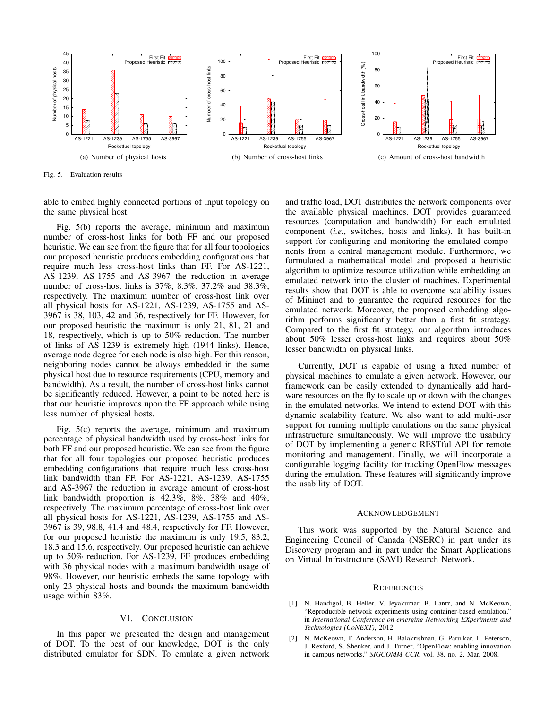

Fig. 5. Evaluation results

able to embed highly connected portions of input topology on the same physical host.

Fig. 5(b) reports the average, minimum and maximum number of cross-host links for both FF and our proposed heuristic. We can see from the figure that for all four topologies our proposed heuristic produces embedding configurations that require much less cross-host links than FF. For AS-1221, AS-1239, AS-1755 and AS-3967 the reduction in average number of cross-host links is 37%, 8.3%, 37.2% and 38.3%, respectively. The maximum number of cross-host link over all physical hosts for AS-1221, AS-1239, AS-1755 and AS-3967 is 38, 103, 42 and 36, respectively for FF. However, for our proposed heuristic the maximum is only 21, 81, 21 and 18, respectively, which is up to 50% reduction. The number of links of AS-1239 is extremely high (1944 links). Hence, average node degree for each node is also high. For this reason, neighboring nodes cannot be always embedded in the same physical host due to resource requirements (CPU, memory and bandwidth). As a result, the number of cross-host links cannot be significantly reduced. However, a point to be noted here is that our heuristic improves upon the FF approach while using less number of physical hosts.

Fig. 5(c) reports the average, minimum and maximum percentage of physical bandwidth used by cross-host links for both FF and our proposed heuristic. We can see from the figure that for all four topologies our proposed heuristic produces embedding configurations that require much less cross-host link bandwidth than FF. For AS-1221, AS-1239, AS-1755 and AS-3967 the reduction in average amount of cross-host link bandwidth proportion is 42.3%, 8%, 38% and 40%, respectively. The maximum percentage of cross-host link over all physical hosts for AS-1221, AS-1239, AS-1755 and AS-3967 is 39, 98.8, 41.4 and 48.4, respectively for FF. However, for our proposed heuristic the maximum is only 19.5, 83.2, 18.3 and 15.6, respectively. Our proposed heuristic can achieve up to 50% reduction. For AS-1239, FF produces embedding with 36 physical nodes with a maximum bandwidth usage of 98%. However, our heuristic embeds the same topology with only 23 physical hosts and bounds the maximum bandwidth usage within 83%.

# VI. CONCLUSION

In this paper we presented the design and management of DOT. To the best of our knowledge, DOT is the only distributed emulator for SDN. To emulate a given network

and traffic load, DOT distributes the network components over the available physical machines. DOT provides guaranteed resources (computation and bandwidth) for each emulated component (*i.e.*, switches, hosts and links). It has built-in support for configuring and monitoring the emulated components from a central management module. Furthermore, we formulated a mathematical model and proposed a heuristic algorithm to optimize resource utilization while embedding an emulated network into the cluster of machines. Experimental results show that DOT is able to overcome scalability issues of Mininet and to guarantee the required resources for the emulated network. Moreover, the proposed embedding algorithm performs significantly better than a first fit strategy. Compared to the first fit strategy, our algorithm introduces about 50% lesser cross-host links and requires about 50% lesser bandwidth on physical links.

Currently, DOT is capable of using a fixed number of physical machines to emulate a given network. However, our framework can be easily extended to dynamically add hardware resources on the fly to scale up or down with the changes in the emulated networks. We intend to extend DOT with this dynamic scalability feature. We also want to add multi-user support for running multiple emulations on the same physical infrastructure simultaneously. We will improve the usability of DOT by implementing a generic RESTful API for remote monitoring and management. Finally, we will incorporate a configurable logging facility for tracking OpenFlow messages during the emulation. These features will significantly improve the usability of DOT.

#### ACKNOWLEDGEMENT

This work was supported by the Natural Science and Engineering Council of Canada (NSERC) in part under its Discovery program and in part under the Smart Applications on Virtual Infrastructure (SAVI) Research Network.

#### **REFERENCES**

- [1] N. Handigol, B. Heller, V. Jeyakumar, B. Lantz, and N. McKeown, "Reproducible network experiments using container-based emulation," in *International Conference on emerging Networking EXperiments and Technologies (CoNEXT)*, 2012.
- [2] N. McKeown, T. Anderson, H. Balakrishnan, G. Parulkar, L. Peterson, J. Rexford, S. Shenker, and J. Turner, "OpenFlow: enabling innovation in campus networks," *SIGCOMM CCR*, vol. 38, no. 2, Mar. 2008.